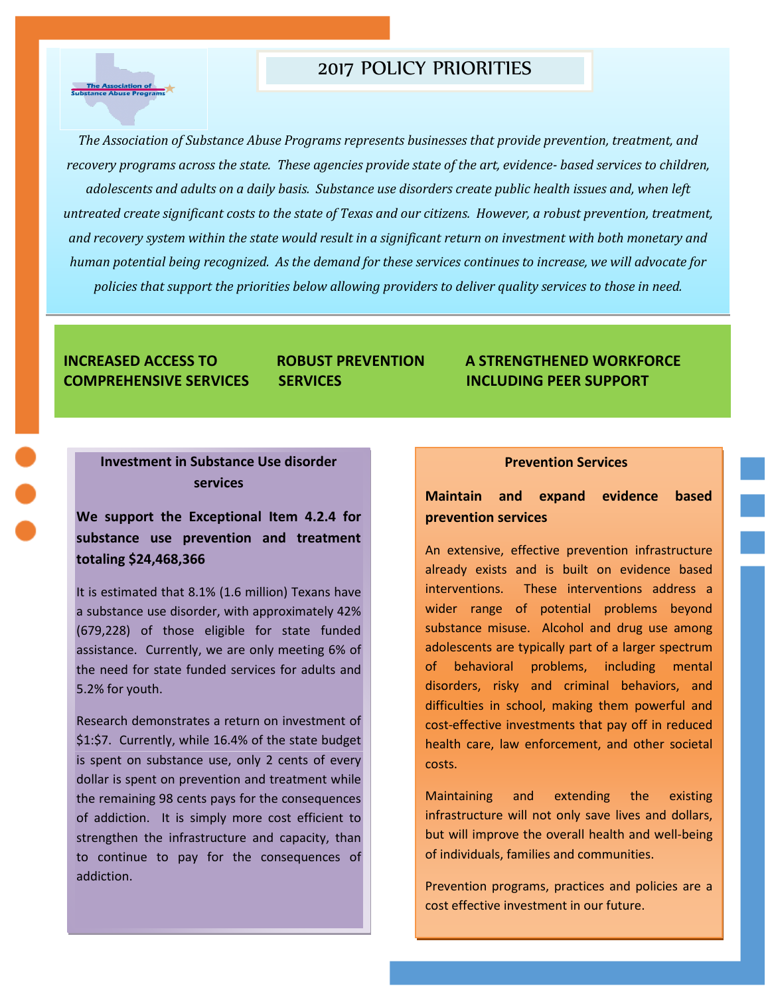## 2017 POLICY PRIORITIES

The Association of<br>stance Abuse Progr

*The Association of Substance Abuse Programs represents businesses that provide prevention, treatment, and recovery programs across the state. These agencies provide state of the art, evidence- based services to children, adolescents and adults on a daily basis. Substance use disorders create public health issues and, when left untreated create significant costs to the state of Texas and our citizens. However, a robust prevention, treatment, and recovery system within the state would result in a significant return on investment with both monetary and human potential being recognized. As the demand for these services continues to increase, we will advocate for policies that support the priorities below allowing providers to deliver quality services to those in need.*

## **INCREASED ACCESS TO ROBUST PREVENTION A STRENGTHENED WORKFORCE COMPREHENSIVE SERVICES SERVICES INCLUDING PEER SUPPORT**

## **Investment in Substance Use disorder services**

**We support the Exceptional Item 4.2.4 for substance use prevention and treatment totaling \$24,468,366**

It is estimated that 8.1% (1.6 million) Texans have a substance use disorder, with approximately 42% (679,228) of those eligible for state funded assistance. Currently, we are only meeting 6% of the need for state funded services for adults and 5.2% for youth.

Research demonstrates a return on investment of \$1:\$7. Currently, while 16.4% of the state budget is spent on substance use, only 2 cents of every dollar is spent on prevention and treatment while the remaining 98 cents pays for the consequences of addiction. It is simply more cost efficient to strengthen the infrastructure and capacity, than to continue to pay for the consequences of addiction.

#### **Prevention Services**

## **Maintain and expand evidence based prevention services**

An extensive, effective prevention infrastructure already exists and is built on evidence based interventions. These interventions address a wider range of potential problems beyond substance misuse. Alcohol and drug use among adolescents are typically part of a larger spectrum of behavioral problems, including mental disorders, risky and criminal behaviors, and difficulties in school, making them powerful and cost-effective investments that pay off in reduced health care, law enforcement, and other societal costs.

Maintaining and extending the existing infrastructure will not only save lives and dollars, but will improve the overall health and well-being of individuals, families and communities.

Prevention programs, practices and policies are a cost effective investment in our future.